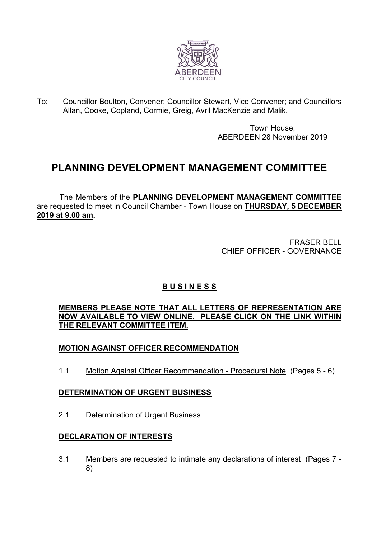

To: Councillor Boulton, Convener; Councillor Stewart, Vice Convener; and Councillors Allan, Cooke, Copland, Cormie, Greig, Avril MacKenzie and Malik.

> Town House, ABERDEEN 28 November 2019

# **PLANNING DEVELOPMENT MANAGEMENT COMMITTEE**

The Members of the **PLANNING DEVELOPMENT MANAGEMENT COMMITTEE** are requested to meet in Council Chamber - Town House on **THURSDAY, 5 DECEMBER 2019 at 9.00 am.**

> FRASER BELL CHIEF OFFICER - GOVERNANCE

# **B U S I N E S S**

#### **MEMBERS PLEASE NOTE THAT ALL LETTERS OF REPRESENTATION ARE NOW AVAILABLE TO VIEW ONLINE. PLEASE CLICK ON THE LINK WITHIN THE RELEVANT COMMITTEE ITEM.**

# **MOTION AGAINST OFFICER RECOMMENDATION**

1.1 Motion Against Officer Recommendation - Procedural Note (Pages 5 - 6)

# **DETERMINATION OF URGENT BUSINESS**

2.1 Determination of Urgent Business

# **DECLARATION OF INTERESTS**

3.1 Members are requested to intimate any declarations of interest (Pages 7 - 8)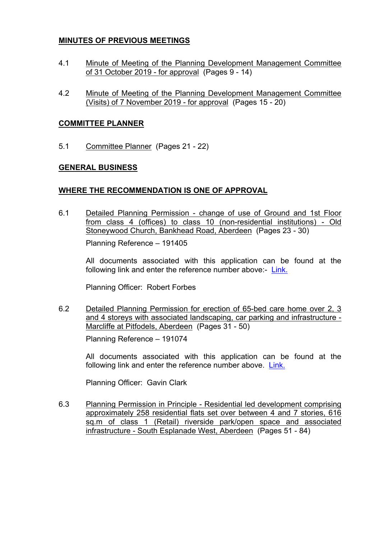#### **MINUTES OF PREVIOUS MEETINGS**

- 4.1 Minute of Meeting of the Planning Development Management Committee of 31 October 2019 - for approval (Pages 9 - 14)
- 4.2 Minute of Meeting of the Planning Development Management Committee (Visits) of 7 November 2019 - for approval (Pages 15 - 20)

#### **COMMITTEE PLANNER**

5.1 Committee Planner (Pages 21 - 22)

#### **GENERAL BUSINESS**

#### **WHERE THE RECOMMENDATION IS ONE OF APPROVAL**

6.1 Detailed Planning Permission - change of use of Ground and 1st Floor from class 4 (offices) to class 10 (non-residential institutions) - Old Stoneywood Church, Bankhead Road, Aberdeen (Pages 23 - 30)

Planning Reference – 191405

All documents associated with this application can be found at the following link and enter the reference number above:- [Link.](https://publicaccess.aberdeencity.gov.uk/online-applications/)

Planning Officer: Robert Forbes

6.2 Detailed Planning Permission for erection of 65-bed care home over 2, 3 and 4 storeys with associated landscaping, car parking and infrastructure - Marcliffe at Pitfodels, Aberdeen (Pages 31 - 50)

Planning Reference – 191074

All documents associated with this application can be found at the following link and enter the reference number above. [Link.](https://publicaccess.aberdeencity.gov.uk/online-applications/)

Planning Officer: Gavin Clark

6.3 Planning Permission in Principle - Residential led development comprising approximately 258 residential flats set over between 4 and 7 stories, 616 sq.m of class 1 (Retail) riverside park/open space and associated infrastructure - South Esplanade West, Aberdeen (Pages 51 - 84)